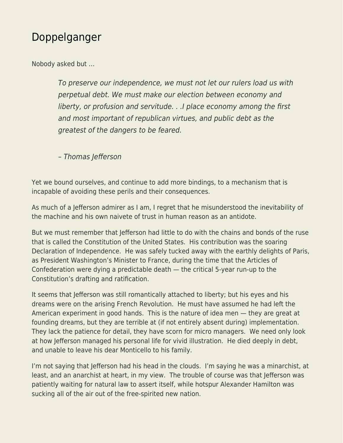## [Doppelganger](https://everything-voluntary.com/doppelganger)

Nobody asked but …

To preserve our independence, we must not let our rulers load us with perpetual debt. We must make our election between economy and liberty, or profusion and servitude. . .I place economy among the first and most important of republican virtues, and public debt as the greatest of the dangers to be feared.

– Thomas Jefferson

Yet we bound ourselves, and continue to add more bindings, to a mechanism that is incapable of avoiding these perils and their consequences.

As much of a Jefferson admirer as I am, I regret that he misunderstood the inevitability of the machine and his own naivete of trust in human reason as an antidote.

But we must remember that Jefferson had little to do with the chains and bonds of the ruse that is called the Constitution of the United States. His contribution was the soaring Declaration of Independence. He was safely tucked away with the earthly delights of Paris, as President Washington's Minister to France, during the time that the Articles of Confederation were dying a predictable death — the critical 5-year run-up to the Constitution's drafting and ratification.

It seems that Jefferson was still romantically attached to liberty; but his eyes and his dreams were on the arising French Revolution. He must have assumed he had left the American experiment in good hands. This is the nature of idea men — they are great at founding dreams, but they are terrible at (if not entirely absent during) implementation. They lack the patience for detail, they have scorn for micro managers. We need only look at how Jefferson managed his personal life for vivid illustration. He died deeply in debt, and unable to leave his dear Monticello to his family.

I'm not saying that Jefferson had his head in the clouds. I'm saying he was a minarchist, at least, and an anarchist at heart, in my view. The trouble of course was that Jefferson was patiently waiting for natural law to assert itself, while hotspur Alexander Hamilton was sucking all of the air out of the free-spirited new nation.